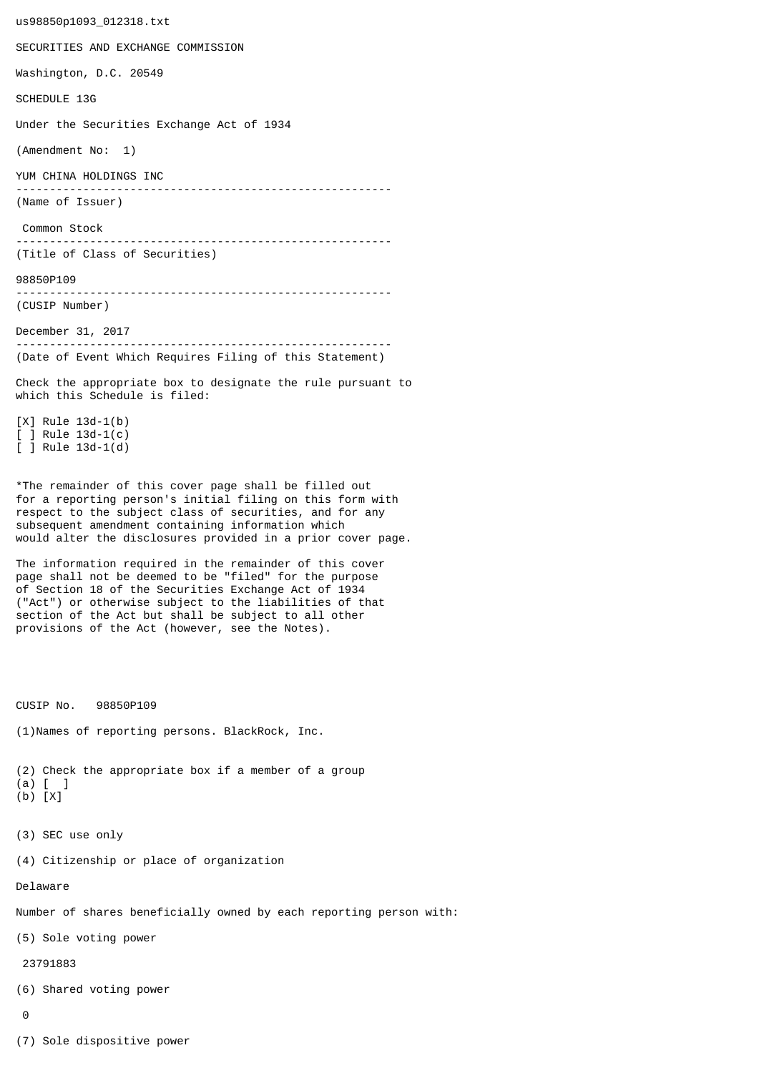us98850p1093\_012318.txt SECURITIES AND EXCHANGE COMMISSION Washington, D.C. 20549 SCHEDULE 13G Under the Securities Exchange Act of 1934 (Amendment No: 1) YUM CHINA HOLDINGS INC -------------------------------------------------------- (Name of Issuer) Common Stock -------------------------------------------------------- (Title of Class of Securities) 98850P109 -------------------------------------------------------- (CUSIP Number) December 31, 2017 -------------------------------------------------------- (Date of Event Which Requires Filing of this Statement) Check the appropriate box to designate the rule pursuant to which this Schedule is filed: [X] Rule 13d-1(b) [ ] Rule 13d-1(c) [ ] Rule 13d-1(d) \*The remainder of this cover page shall be filled out for a reporting person's initial filing on this form with respect to the subject class of securities, and for any subsequent amendment containing information which would alter the disclosures provided in a prior cover page. The information required in the remainder of this cover page shall not be deemed to be "filed" for the purpose of Section 18 of the Securities Exchange Act of 1934 ("Act") or otherwise subject to the liabilities of that section of the Act but shall be subject to all other provisions of the Act (however, see the Notes). CUSIP No. 98850P109 (1)Names of reporting persons. BlackRock, Inc. (2) Check the appropriate box if a member of a group (a) [ ] (b) [X] (3) SEC use only (4) Citizenship or place of organization Delaware Number of shares beneficially owned by each reporting person with: (5) Sole voting power 23791883 (6) Shared voting power

 $\Omega$ 

(7) Sole dispositive power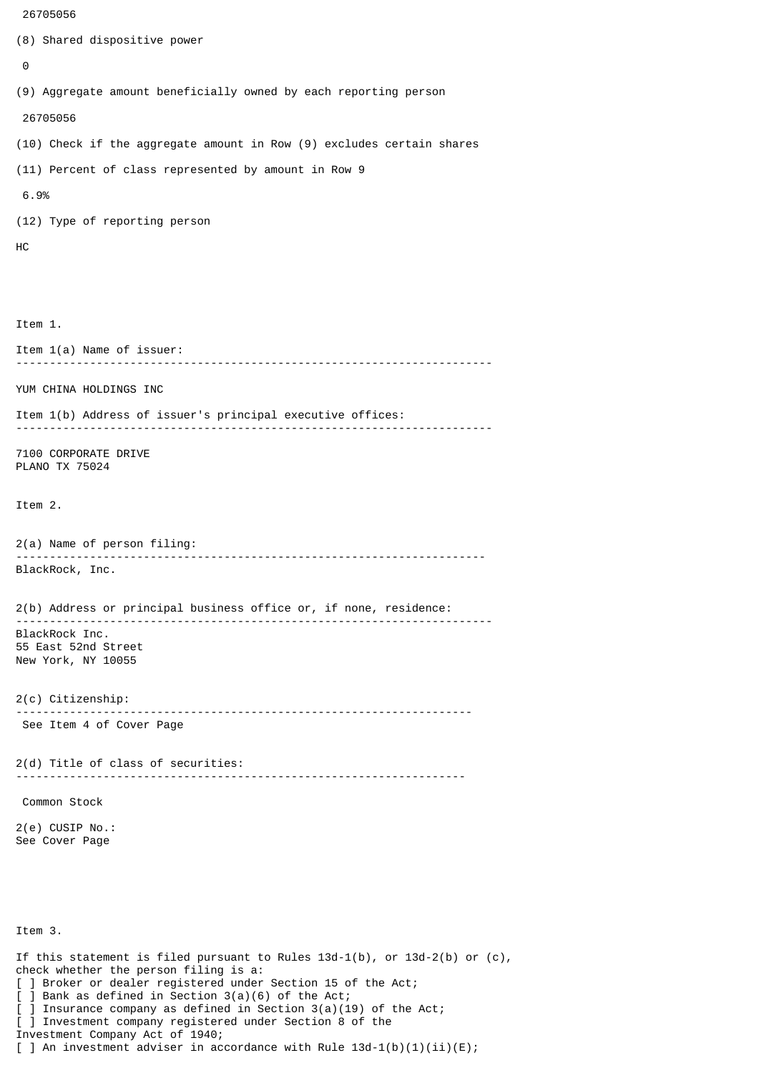```
 26705056
(8) Shared dispositive power
 \Omega(9) Aggregate amount beneficially owned by each reporting person
  26705056
(10) Check if the aggregate amount in Row (9) excludes certain shares
(11) Percent of class represented by amount in Row 9
  6.9%
(12) Type of reporting person
HC
Item 1.
Item 1(a) Name of issuer:
                              -----------------------------------------------------------------------
YUM CHINA HOLDINGS INC
Item 1(b) Address of issuer's principal executive offices:
-----------------------------------------------------------------------
7100 CORPORATE DRIVE
PLANO TX 75024
Item 2.
2(a) Name of person filing:
               ----------------------------------------------------------------------
BlackRock, Inc.
2(b) Address or principal business office or, if none, residence:
-----------------------------------------------------------------------
BlackRock Inc.
55 East 52nd Street
New York, NY 10055
2(c) Citizenship:
                            --------------------------------------------------------------------
 See Item 4 of Cover Page
2(d) Title of class of securities:
                                      -------------------------------------------------------------------
  Common Stock
2(e) CUSIP No.:
See Cover Page
Item 3.
If this statement is filed pursuant to Rules 13d-1(b), or 13d-2(b) or (c),
check whether the person filing is a:
[ ] Broker or dealer registered under Section 15 of the Act;
[ ] Bank as defined in Section 3(a)(6) of the Act;
```
[ ] Insurance company as defined in Section 3(a)(19) of the Act;

[ ] Investment company registered under Section 8 of the

Investment Company Act of 1940;

[ ] An investment adviser in accordance with Rule  $13d-1(b)(1)(ii)(E)$ ;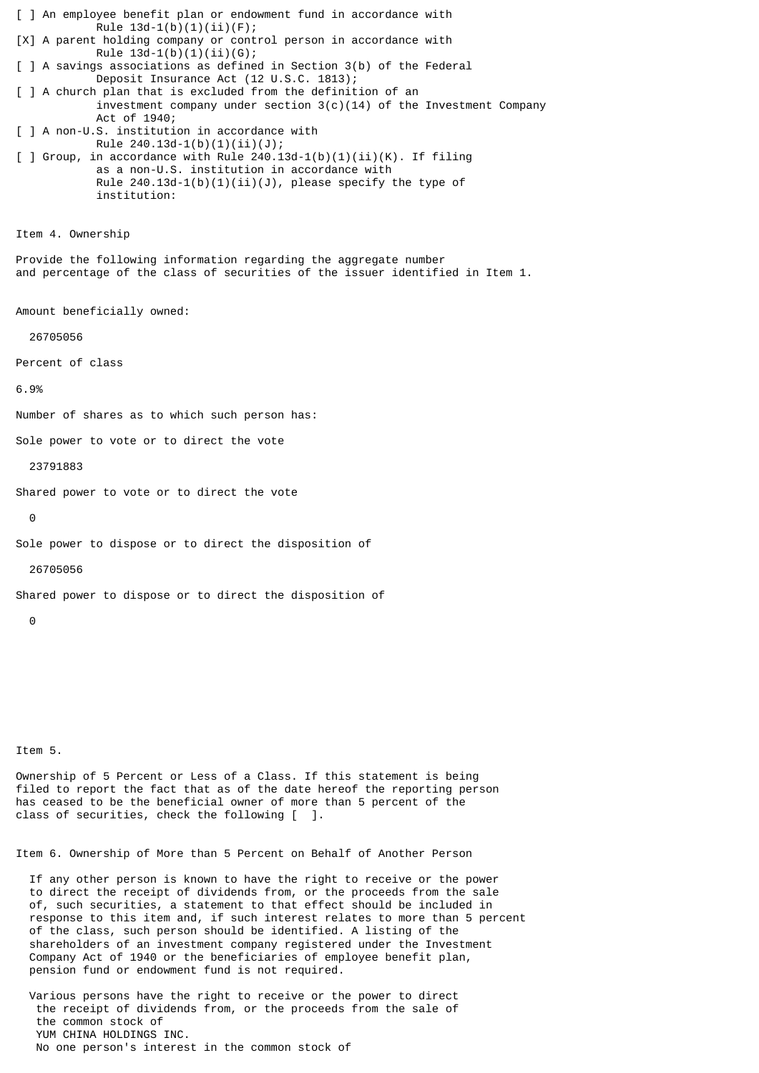[ ] An employee benefit plan or endowment fund in accordance with Rule  $13d-1(b)(1)(ii)(F);$ [X] A parent holding company or control person in accordance with Rule  $13d-1(b)(1)(ii)(G);$ [ ] A savings associations as defined in Section 3(b) of the Federal Deposit Insurance Act (12 U.S.C. 1813); [ ] A church plan that is excluded from the definition of an investment company under section  $3(c)(14)$  of the Investment Company Act of 1940; [ ] A non-U.S. institution in accordance with Rule  $240.13d-1(b)(1)(ii)(J);$  $[$  ] Group, in accordance with Rule 240.13d-1(b)(1)(ii)(K). If filing as a non-U.S. institution in accordance with Rule  $240.13d-1(b)(1)(ii)(J)$ , please specify the type of institution: Item 4. Ownership Provide the following information regarding the aggregate number and percentage of the class of securities of the issuer identified in Item 1. Amount beneficially owned: 26705056 Percent of class 6.9% Number of shares as to which such person has: Sole power to vote or to direct the vote 23791883 Shared power to vote or to direct the vote  $\boldsymbol{\Theta}$ Sole power to dispose or to direct the disposition of 26705056 Shared power to dispose or to direct the disposition of  $\boldsymbol{\Theta}$ 

Item 5.

Ownership of 5 Percent or Less of a Class. If this statement is being filed to report the fact that as of the date hereof the reporting person has ceased to be the beneficial owner of more than 5 percent of the class of securities, check the following [ ].

Item 6. Ownership of More than 5 Percent on Behalf of Another Person

 If any other person is known to have the right to receive or the power to direct the receipt of dividends from, or the proceeds from the sale of, such securities, a statement to that effect should be included in response to this item and, if such interest relates to more than 5 percent of the class, such person should be identified. A listing of the shareholders of an investment company registered under the Investment Company Act of 1940 or the beneficiaries of employee benefit plan, pension fund or endowment fund is not required.

 Various persons have the right to receive or the power to direct the receipt of dividends from, or the proceeds from the sale of the common stock of YUM CHINA HOLDINGS INC. No one person's interest in the common stock of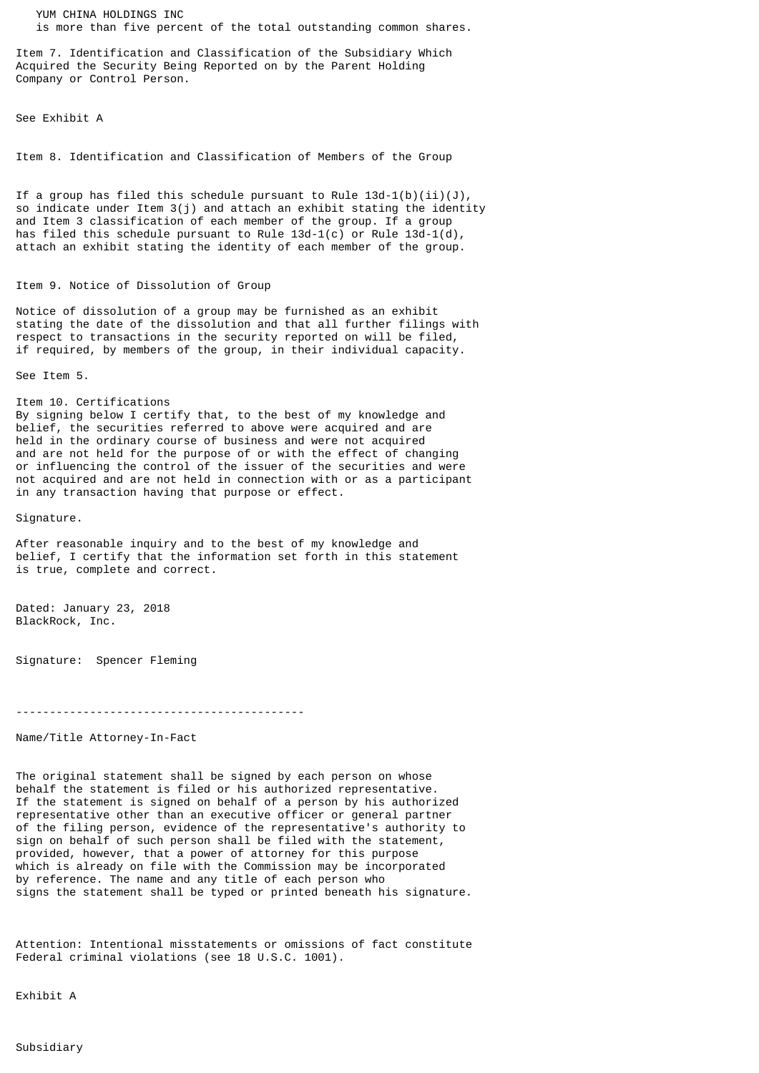YUM CHINA HOLDINGS INC is more than five percent of the total outstanding common shares.

Item 7. Identification and Classification of the Subsidiary Which Acquired the Security Being Reported on by the Parent Holding Company or Control Person.

See Exhibit A

Item 8. Identification and Classification of Members of the Group

If a group has filed this schedule pursuant to Rule  $13d-1(b)(ii)(J)$ , so indicate under Item 3(j) and attach an exhibit stating the identity and Item 3 classification of each member of the group. If a group has filed this schedule pursuant to Rule  $13d-1(c)$  or Rule  $13d-1(d)$ , attach an exhibit stating the identity of each member of the group.

Item 9. Notice of Dissolution of Group

Notice of dissolution of a group may be furnished as an exhibit stating the date of the dissolution and that all further filings with respect to transactions in the security reported on will be filed, if required, by members of the group, in their individual capacity.

See Item 5.

Item 10. Certifications By signing below I certify that, to the best of my knowledge and belief, the securities referred to above were acquired and are held in the ordinary course of business and were not acquired and are not held for the purpose of or with the effect of changing or influencing the control of the issuer of the securities and were not acquired and are not held in connection with or as a participant in any transaction having that purpose or effect.

Signature.

After reasonable inquiry and to the best of my knowledge and belief, I certify that the information set forth in this statement is true, complete and correct.

Dated: January 23, 2018 BlackRock, Inc.

Signature: Spencer Fleming

-------------------------------------------

Name/Title Attorney-In-Fact

The original statement shall be signed by each person on whose behalf the statement is filed or his authorized representative. If the statement is signed on behalf of a person by his authorized representative other than an executive officer or general partner of the filing person, evidence of the representative's authority to sign on behalf of such person shall be filed with the statement, provided, however, that a power of attorney for this purpose which is already on file with the Commission may be incorporated by reference. The name and any title of each person who signs the statement shall be typed or printed beneath his signature.

Attention: Intentional misstatements or omissions of fact constitute Federal criminal violations (see 18 U.S.C. 1001).

Exhibit A